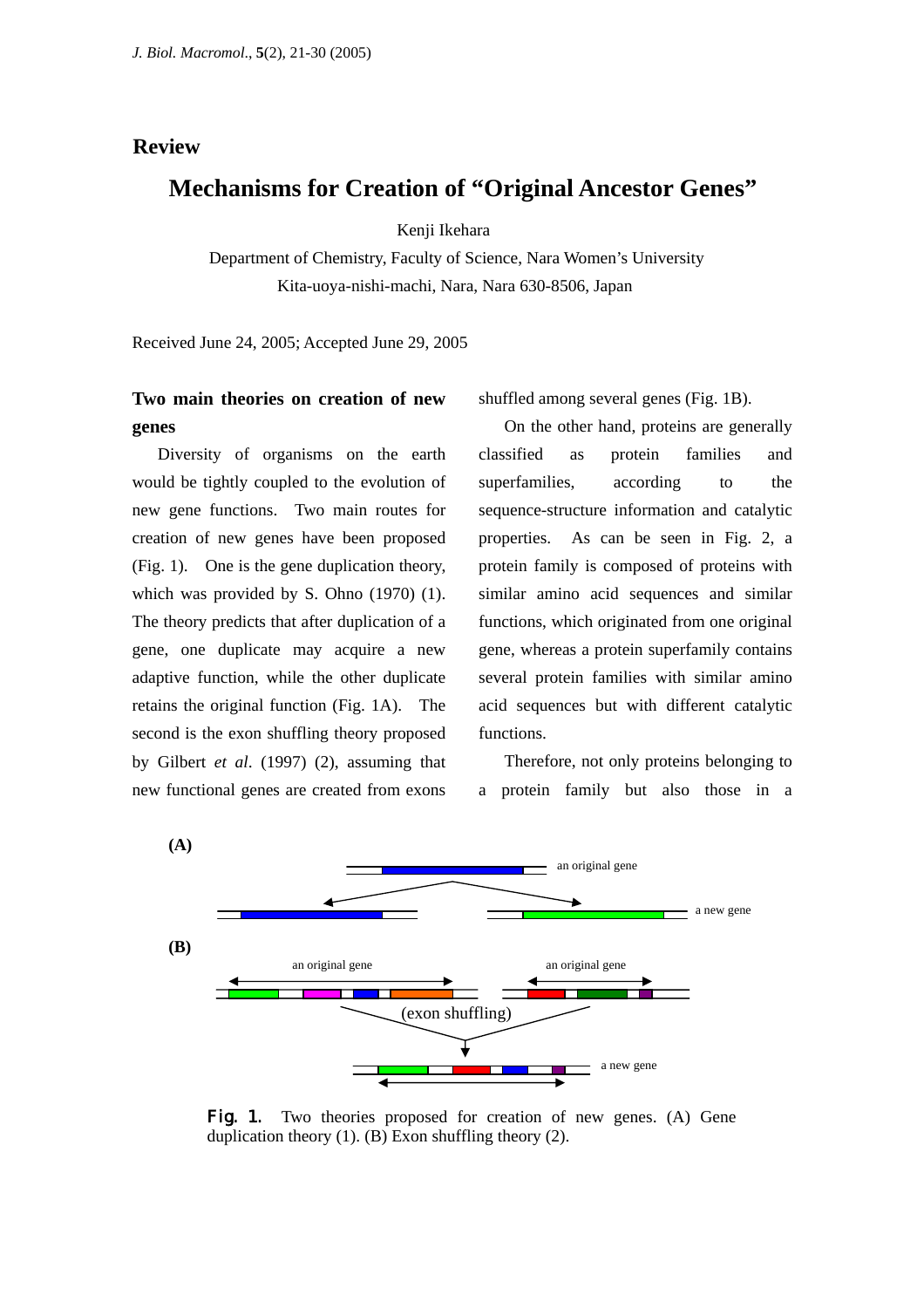### **Review**

# **Mechanisms for Creation of "Original Ancestor Genes"**

Kenji Ikehara

Department of Chemistry, Faculty of Science, Nara Women's University Kita-uoya-nishi-machi, Nara, Nara 630-8506, Japan

Received June 24, 2005; Accepted June 29, 2005

## **Two main theories on creation of new genes**

Diversity of organisms on the earth would be tightly coupled to the evolution of new gene functions. Two main routes for creation of new genes have been proposed (Fig. 1). One is the gene duplication theory, which was provided by S. Ohno (1970) (1). The theory predicts that after duplication of a gene, one duplicate may acquire a new adaptive function, while the other duplicate retains the original function (Fig. 1A). The second is the exon shuffling theory proposed by Gilbert *et al*. (1997) (2), assuming that new functional genes are created from exons

shuffled among several genes (Fig. 1B).

On the other hand, proteins are generally classified as protein families and superfamilies, according to the sequence-structure information and catalytic properties. As can be seen in Fig. 2, a protein family is composed of proteins with similar amino acid sequences and similar functions, which originated from one original gene, whereas a protein superfamily contains several protein families with similar amino acid sequences but with different catalytic functions.

Therefore, not only proteins belonging to a protein family but also those in a



Fig. 1. Two theories proposed for creation of new genes. (A) Gene duplication theory (1). (B) Exon shuffling theory (2).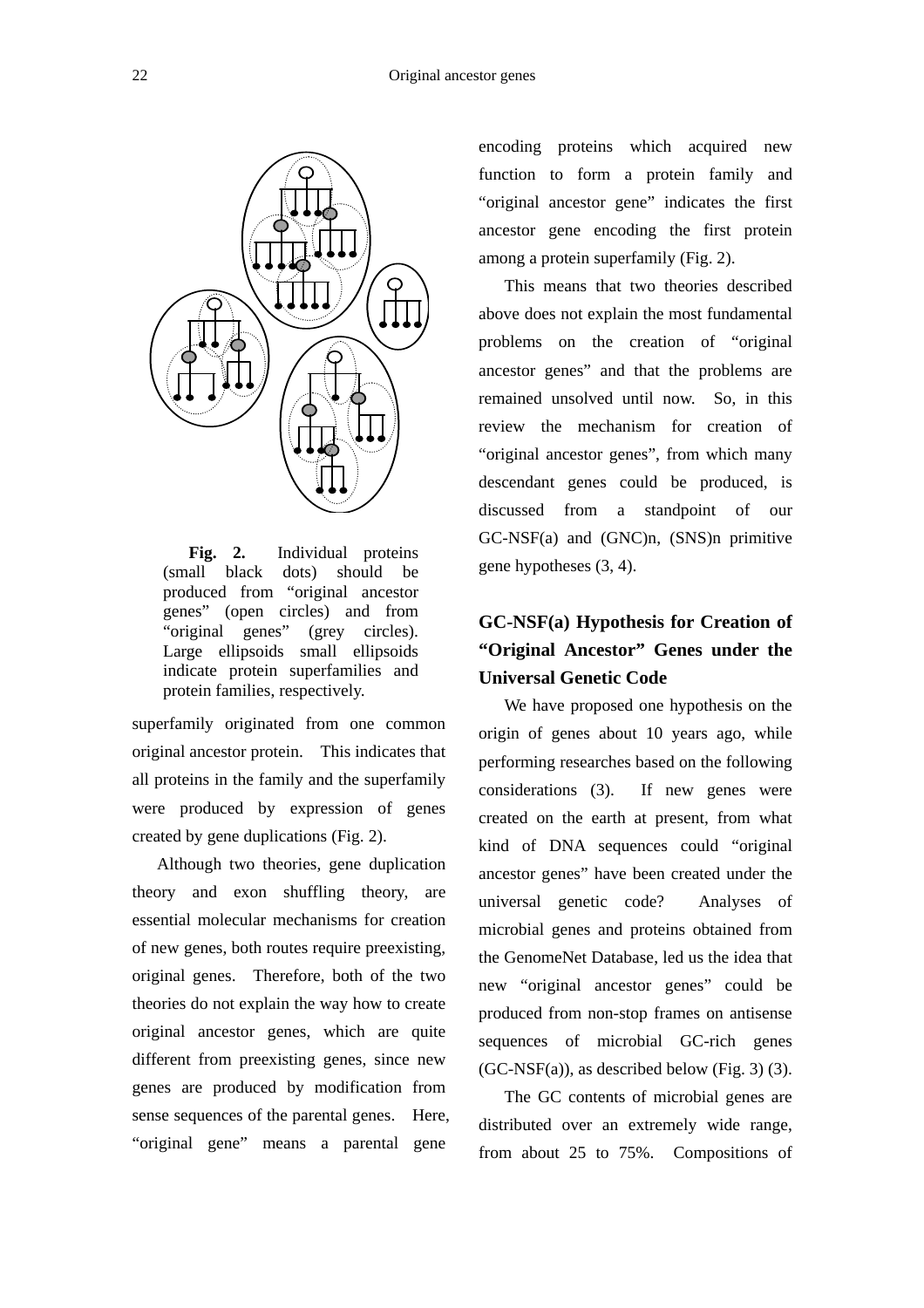

**Fig. 2.** Individual proteins (small black dots) should be produced from "original ancestor genes" (open circles) and from "original genes" (grey circles). Large ellipsoids small ellipsoids indicate protein superfamilies and protein families, respectively.

superfamily originated from one common original ancestor protein. This indicates that all proteins in the family and the superfamily were produced by expression of genes created by gene duplications (Fig. 2).

Although two theories, gene duplication theory and exon shuffling theory, are essential molecular mechanisms for creation of new genes, both routes require preexisting, original genes. Therefore, both of the two theories do not explain the way how to create original ancestor genes, which are quite different from preexisting genes, since new genes are produced by modification from sense sequences of the parental genes. Here, "original gene" means a parental gene

encoding proteins which acquired new function to form a protein family and "original ancestor gene" indicates the first ancestor gene encoding the first protein among a protein superfamily (Fig. 2).

This means that two theories described above does not explain the most fundamental problems on the creation of "original ancestor genes" and that the problems are remained unsolved until now. So, in this review the mechanism for creation of "original ancestor genes", from which many descendant genes could be produced, is discussed from a standpoint of our GC-NSF(a) and (GNC)n, (SNS)n primitive gene hypotheses (3, 4).

# **GC-NSF(a) Hypothesis for Creation of "Original Ancestor" Genes under the Universal Genetic Code**

We have proposed one hypothesis on the origin of genes about 10 years ago, while performing researches based on the following considerations (3). If new genes were created on the earth at present, from what kind of DNA sequences could "original ancestor genes" have been created under the universal genetic code? Analyses of microbial genes and proteins obtained from the GenomeNet Database, led us the idea that new "original ancestor genes" could be produced from non-stop frames on antisense sequences of microbial GC-rich genes  $(GC\text{-}\text{NSF}(a))$ , as described below (Fig. 3) (3).

 The GC contents of microbial genes are distributed over an extremely wide range, from about 25 to 75%. Compositions of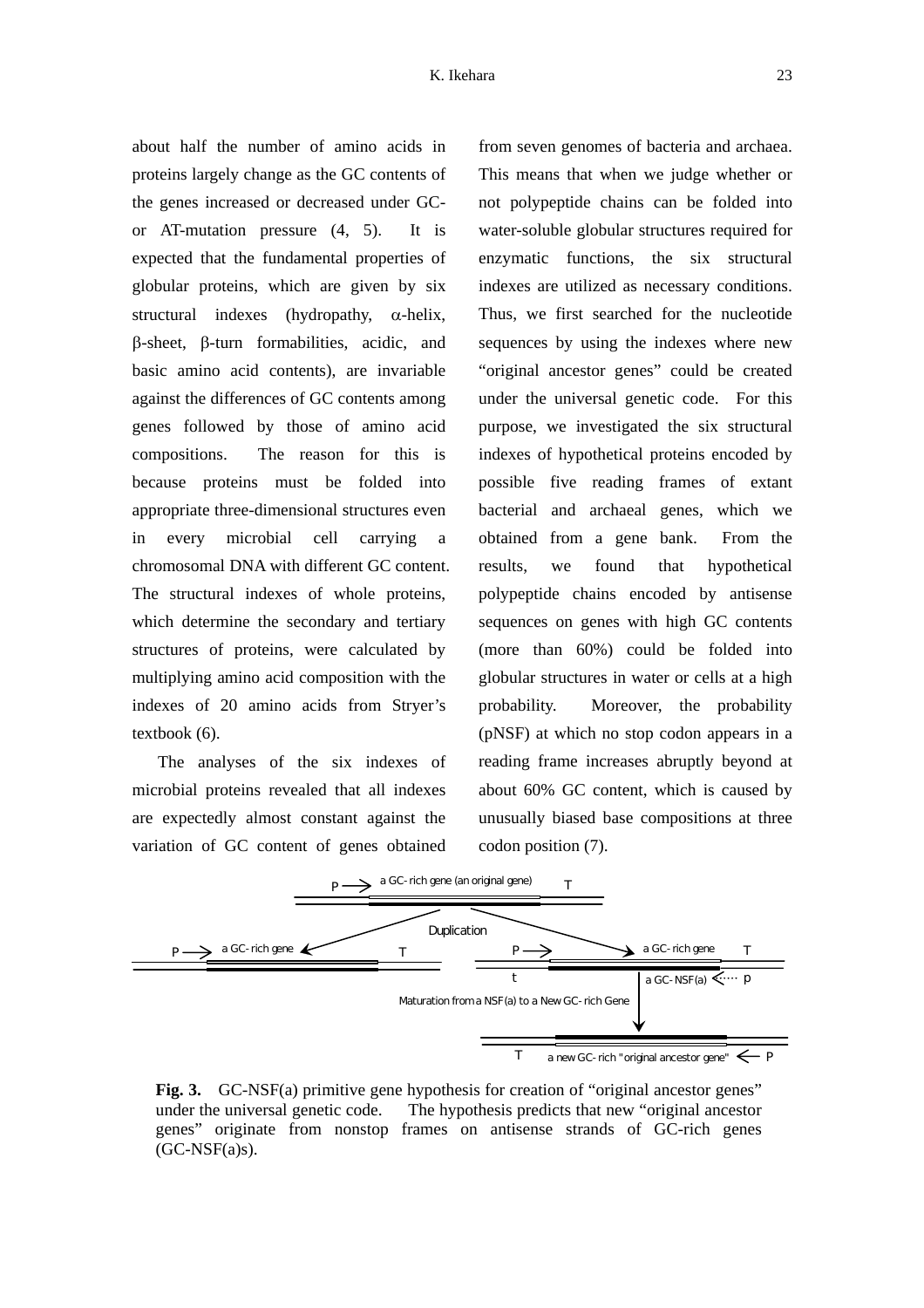about half the number of amino acids in proteins largely change as the GC contents of the genes increased or decreased under GCor AT-mutation pressure (4, 5). It is expected that the fundamental properties of globular proteins, which are given by six structural indexes (hydropathy,  $\alpha$ -helix, β-sheet, β-turn formabilities, acidic, and basic amino acid contents), are invariable against the differences of GC contents among genes followed by those of amino acid compositions. The reason for this is because proteins must be folded into appropriate three-dimensional structures even in every microbial cell carrying a chromosomal DNA with different GC content. The structural indexes of whole proteins, which determine the secondary and tertiary structures of proteins, were calculated by multiplying amino acid composition with the indexes of 20 amino acids from Stryer's textbook (6).

 The analyses of the six indexes of microbial proteins revealed that all indexes are expectedly almost constant against the variation of GC content of genes obtained

from seven genomes of bacteria and archaea. This means that when we judge whether or not polypeptide chains can be folded into water-soluble globular structures required for enzymatic functions, the six structural indexes are utilized as necessary conditions. Thus, we first searched for the nucleotide sequences by using the indexes where new "original ancestor genes" could be created under the universal genetic code. For this purpose, we investigated the six structural indexes of hypothetical proteins encoded by possible five reading frames of extant bacterial and archaeal genes, which we obtained from a gene bank. From the results, we found that hypothetical polypeptide chains encoded by antisense sequences on genes with high GC contents (more than 60%) could be folded into globular structures in water or cells at a high probability. Moreover, the probability (pNSF) at which no stop codon appears in a reading frame increases abruptly beyond at about 60% GC content, which is caused by unusually biased base compositions at three codon position (7).



**Fig. 3.** GC-NSF(a) primitive gene hypothesis for creation of "original ancestor genes" under the universal genetic code. The hypothesis predicts that new "original ancestor genes" originate from nonstop frames on antisense strands of GC-rich genes  $(GC\text{-}NSF(a)s)$ .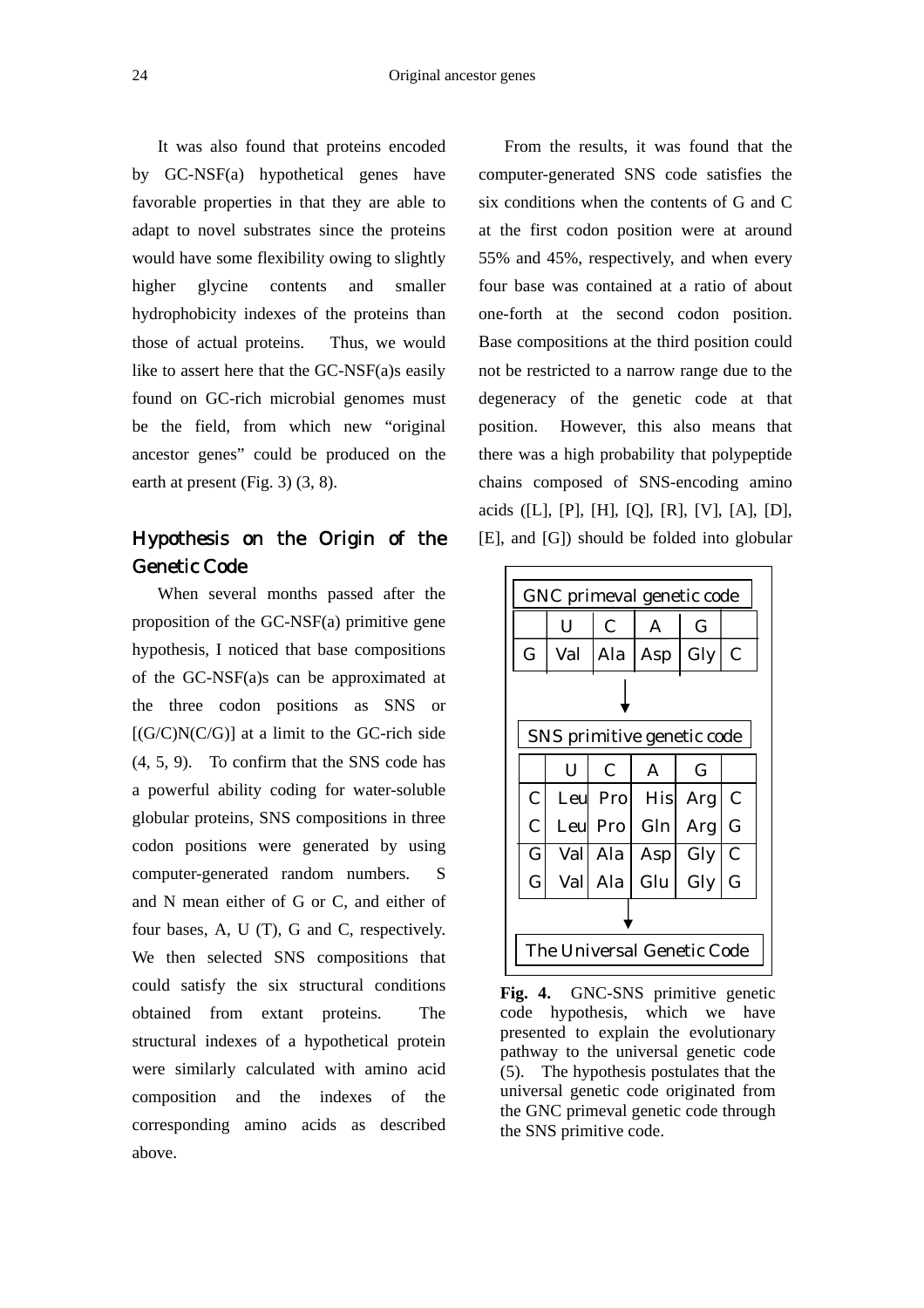It was also found that proteins encoded by GC-NSF(a) hypothetical genes have favorable properties in that they are able to adapt to novel substrates since the proteins would have some flexibility owing to slightly higher glycine contents and smaller hydrophobicity indexes of the proteins than those of actual proteins. Thus, we would like to assert here that the GC-NSF(a)s easily found on GC-rich microbial genomes must be the field, from which new "original ancestor genes" could be produced on the earth at present (Fig. 3) (3, 8).

# Hypothesis on the Origin of the Genetic Code

When several months passed after the proposition of the GC-NSF(a) primitive gene hypothesis, I noticed that base compositions of the GC-NSF(a)s can be approximated at the three codon positions as SNS or  $[(G/C)N(C/G)]$  at a limit to the GC-rich side (4, 5, 9). To confirm that the SNS code has a powerful ability coding for water-soluble globular proteins, SNS compositions in three codon positions were generated by using computer-generated random numbers. S and N mean either of G or C, and either of four bases, A, U (T), G and C, respectively. We then selected SNS compositions that could satisfy the six structural conditions obtained from extant proteins. The structural indexes of a hypothetical protein were similarly calculated with amino acid composition and the indexes of the corresponding amino acids as described above.

 From the results, it was found that the computer-generated SNS code satisfies the six conditions when the contents of G and C at the first codon position were at around 55% and 45%, respectively, and when every four base was contained at a ratio of about one-forth at the second codon position. Base compositions at the third position could not be restricted to a narrow range due to the degeneracy of the genetic code at that position. However, this also means that there was a high probability that polypeptide chains composed of SNS-encoding amino acids ([L], [P], [H], [Q], [R], [V], [A], [D], [E], and [G]) should be folded into globular

|                            | U    | $\overline{C}$ | A          | G   |               |  |  |  |
|----------------------------|------|----------------|------------|-----|---------------|--|--|--|
| G                          | Val  | Ala            | Asp        | Gly | $\mathsf C$   |  |  |  |
|                            |      |                |            |     |               |  |  |  |
| SNS primitive genetic code |      |                |            |     |               |  |  |  |
|                            | U    | C              | A          | G   |               |  |  |  |
| $\mathbf C$                |      | Leul Pro       | <b>His</b> | Arg | $\mathcal{C}$ |  |  |  |
| $\overline{C}$             | Leul | Pro            | Gln        | Arg | G             |  |  |  |
| G                          |      | Vall Ala       | Asp        | Gly | $\mathcal{C}$ |  |  |  |
| $\mathsf G$                | Val  | Ala            | Glu        | Gly | G             |  |  |  |
|                            |      |                |            |     |               |  |  |  |

**Fig. 4.** GNC-SNS primitive genetic code hypothesis, which we have presented to explain the evolutionary pathway to the universal genetic code (5). The hypothesis postulates that the universal genetic code originated from the GNC primeval genetic code through the SNS primitive code.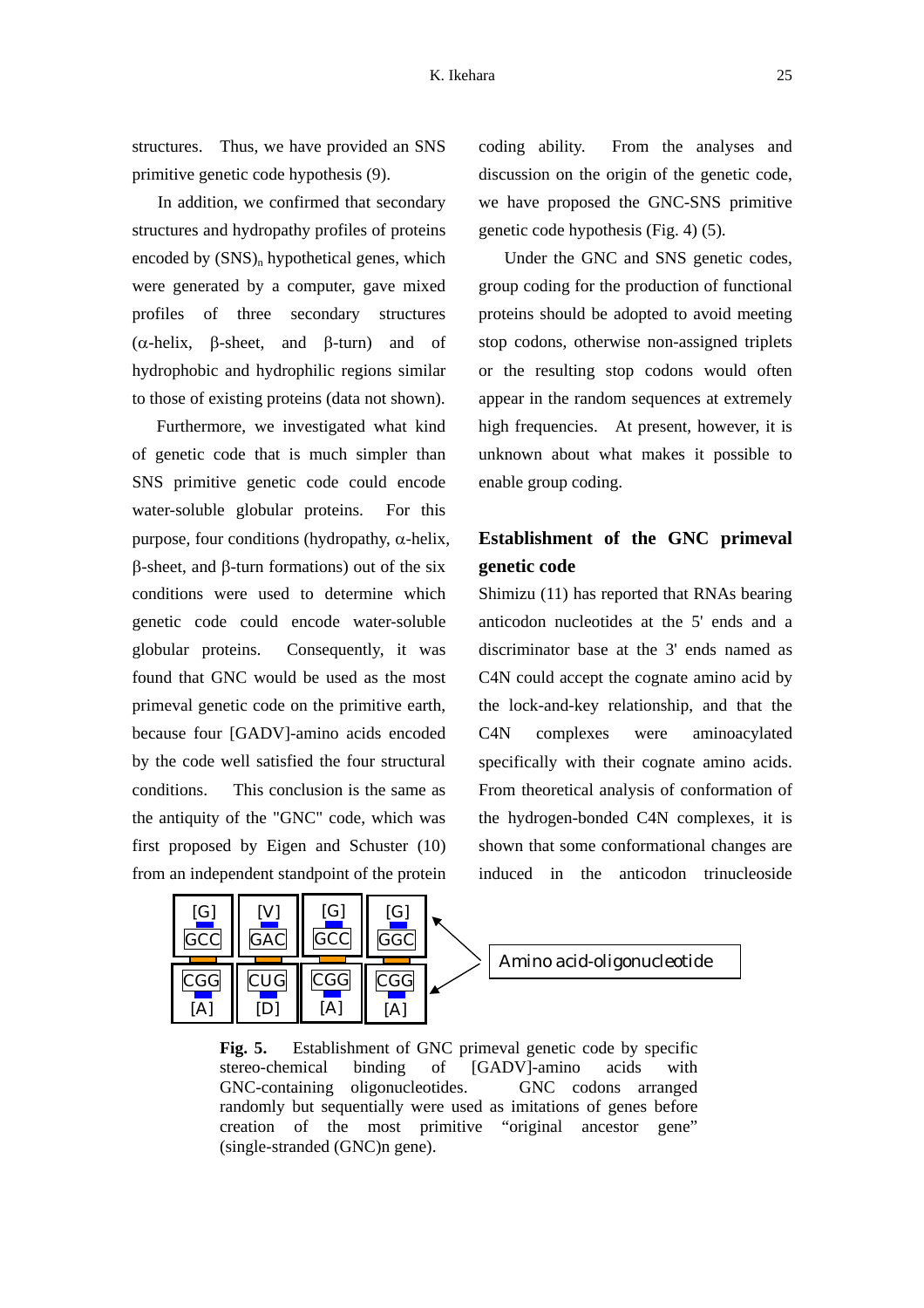structures. Thus, we have provided an SNS primitive genetic code hypothesis (9).

In addition, we confirmed that secondary structures and hydropathy profiles of proteins encoded by  $(SNS)_n$  hypothetical genes, which were generated by a computer, gave mixed profiles of three secondary structures (α-helix, β-sheet, and β-turn) and of hydrophobic and hydrophilic regions similar to those of existing proteins (data not shown).

Furthermore, we investigated what kind of genetic code that is much simpler than SNS primitive genetic code could encode water-soluble globular proteins. For this purpose, four conditions (hydropathy, α-helix, β-sheet, and β-turn formations) out of the six conditions were used to determine which genetic code could encode water-soluble globular proteins. Consequently, it was found that GNC would be used as the most primeval genetic code on the primitive earth, because four [GADV]-amino acids encoded by the code well satisfied the four structural conditions. This conclusion is the same as the antiquity of the "GNC" code, which was first proposed by Eigen and Schuster (10) from an independent standpoint of the protein

coding ability. From the analyses and discussion on the origin of the genetic code, we have proposed the GNC-SNS primitive genetic code hypothesis (Fig. 4) (5).

Under the GNC and SNS genetic codes, group coding for the production of functional proteins should be adopted to avoid meeting stop codons, otherwise non-assigned triplets or the resulting stop codons would often appear in the random sequences at extremely high frequencies. At present, however, it is unknown about what makes it possible to enable group coding.

# **Establishment of the GNC primeval genetic code**

Shimizu (11) has reported that RNAs bearing anticodon nucleotides at the 5' ends and a discriminator base at the 3' ends named as C4N could accept the cognate amino acid by the lock-and-key relationship, and that the C4N complexes were aminoacylated specifically with their cognate amino acids. From theoretical analysis of conformation of the hydrogen-bonded C4N complexes, it is shown that some conformational changes are induced in the anticodon trinucleoside



**Fig. 5.** Establishment of GNC primeval genetic code by specific stereo-chemical binding of [GADV]-amino acids with GNC-containing oligonucleotides. GNC codons arranged randomly but sequentially were used as imitations of genes before creation of the most primitive "original ancestor gene" (single-stranded (GNC)n gene).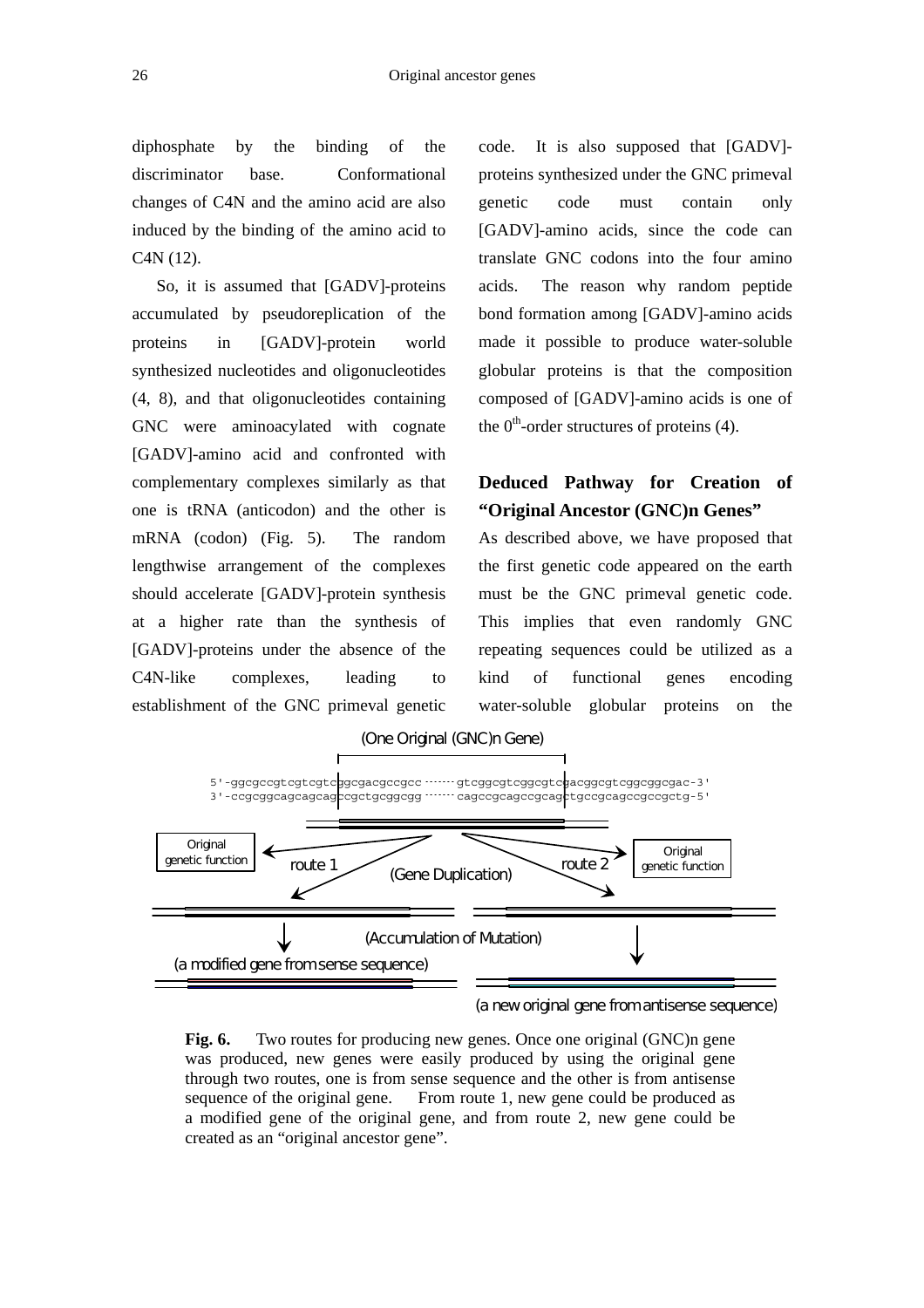diphosphate by the binding of the discriminator base. Conformational changes of C4N and the amino acid are also induced by the binding of the amino acid to C4N (12).

So, it is assumed that [GADV]-proteins accumulated by pseudoreplication of the proteins in [GADV]-protein world synthesized nucleotides and oligonucleotides (4, 8), and that oligonucleotides containing GNC were aminoacylated with cognate [GADV]-amino acid and confronted with complementary complexes similarly as that one is tRNA (anticodon) and the other is mRNA (codon) (Fig. 5). The random lengthwise arrangement of the complexes should accelerate [GADV]-protein synthesis at a higher rate than the synthesis of [GADV]-proteins under the absence of the C4N-like complexes, leading to establishment of the GNC primeval genetic

code. It is also supposed that [GADV] proteins synthesized under the GNC primeval genetic code must contain only [GADV]-amino acids, since the code can translate GNC codons into the four amino acids. The reason why random peptide bond formation among [GADV]-amino acids made it possible to produce water-soluble globular proteins is that the composition composed of [GADV]-amino acids is one of the  $0<sup>th</sup>$ -order structures of proteins (4).

## **Deduced Pathway for Creation of "Original Ancestor (GNC)n Genes"**

As described above, we have proposed that the first genetic code appeared on the earth must be the GNC primeval genetic code. This implies that even randomly GNC repeating sequences could be utilized as a kind of functional genes encoding water-soluble globular proteins on the



#### (a new original gene from antisense sequence)

Fig. 6. Two routes for producing new genes. Once one original (GNC)n gene was produced, new genes were easily produced by using the original gene through two routes, one is from sense sequence and the other is from antisense sequence of the original gene. From route 1, new gene could be produced as a modified gene of the original gene, and from route 2, new gene could be created as an "original ancestor gene".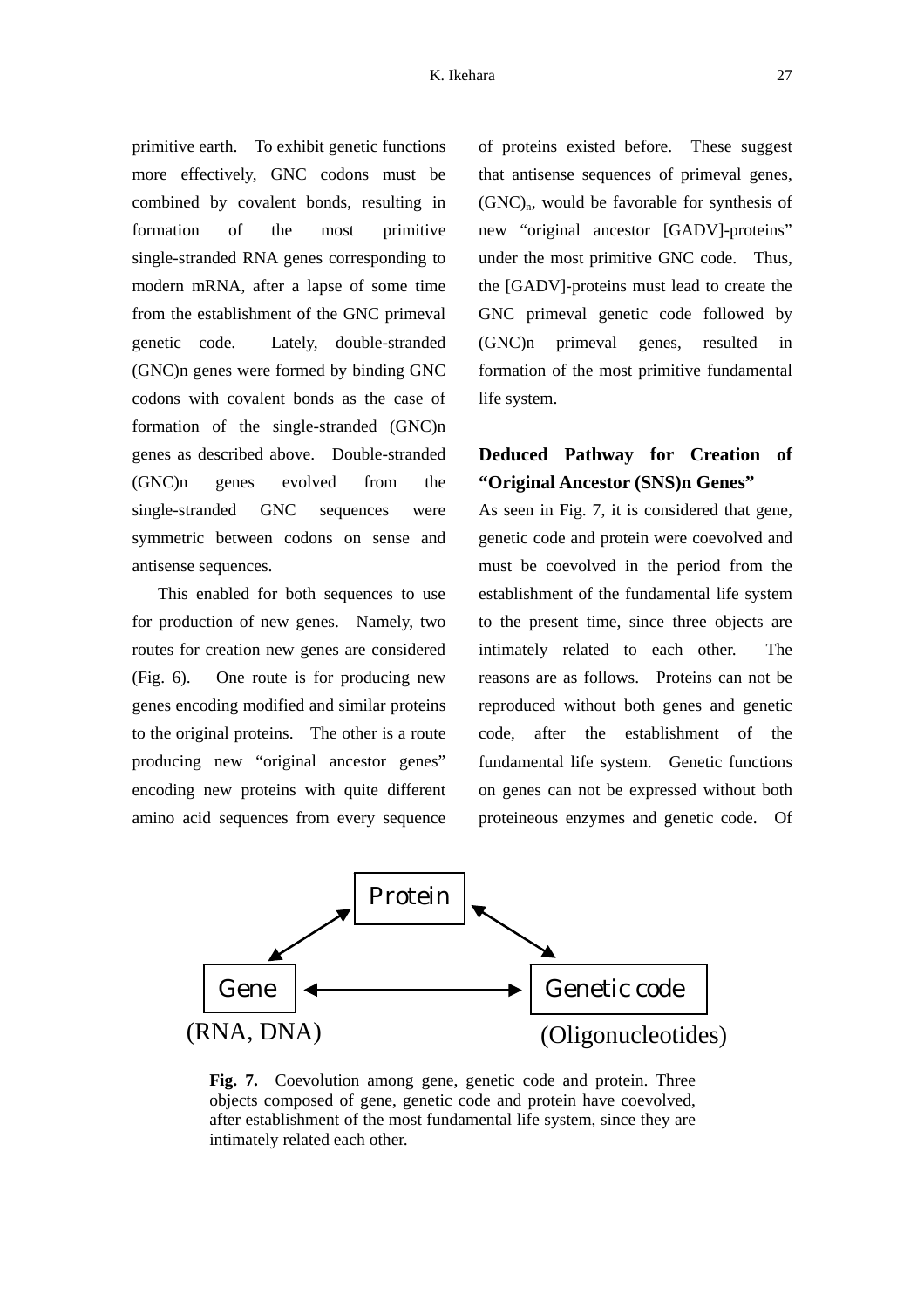primitive earth. To exhibit genetic functions more effectively, GNC codons must be combined by covalent bonds, resulting in formation of the most primitive single-stranded RNA genes corresponding to modern mRNA, after a lapse of some time from the establishment of the GNC primeval genetic code. Lately, double-stranded (GNC)n genes were formed by binding GNC codons with covalent bonds as the case of formation of the single-stranded (GNC)n genes as described above. Double-stranded (GNC)n genes evolved from the single-stranded GNC sequences were symmetric between codons on sense and antisense sequences.

This enabled for both sequences to use for production of new genes. Namely, two routes for creation new genes are considered (Fig. 6). One route is for producing new genes encoding modified and similar proteins to the original proteins. The other is a route producing new "original ancestor genes" encoding new proteins with quite different amino acid sequences from every sequence

of proteins existed before. These suggest that antisense sequences of primeval genes,  $(GNC)<sub>n</sub>$ , would be favorable for synthesis of new "original ancestor [GADV]-proteins" under the most primitive GNC code. Thus, the [GADV]-proteins must lead to create the GNC primeval genetic code followed by (GNC)n primeval genes, resulted in formation of the most primitive fundamental life system.

## **Deduced Pathway for Creation of "Original Ancestor (SNS)n Genes"**

As seen in Fig. 7, it is considered that gene, genetic code and protein were coevolved and must be coevolved in the period from the establishment of the fundamental life system to the present time, since three objects are intimately related to each other. The reasons are as follows. Proteins can not be reproduced without both genes and genetic code, after the establishment of the fundamental life system. Genetic functions on genes can not be expressed without both proteineous enzymes and genetic code. Of



**Fig. 7.** Coevolution among gene, genetic code and protein. Three objects composed of gene, genetic code and protein have coevolved, after establishment of the most fundamental life system, since they are intimately related each other.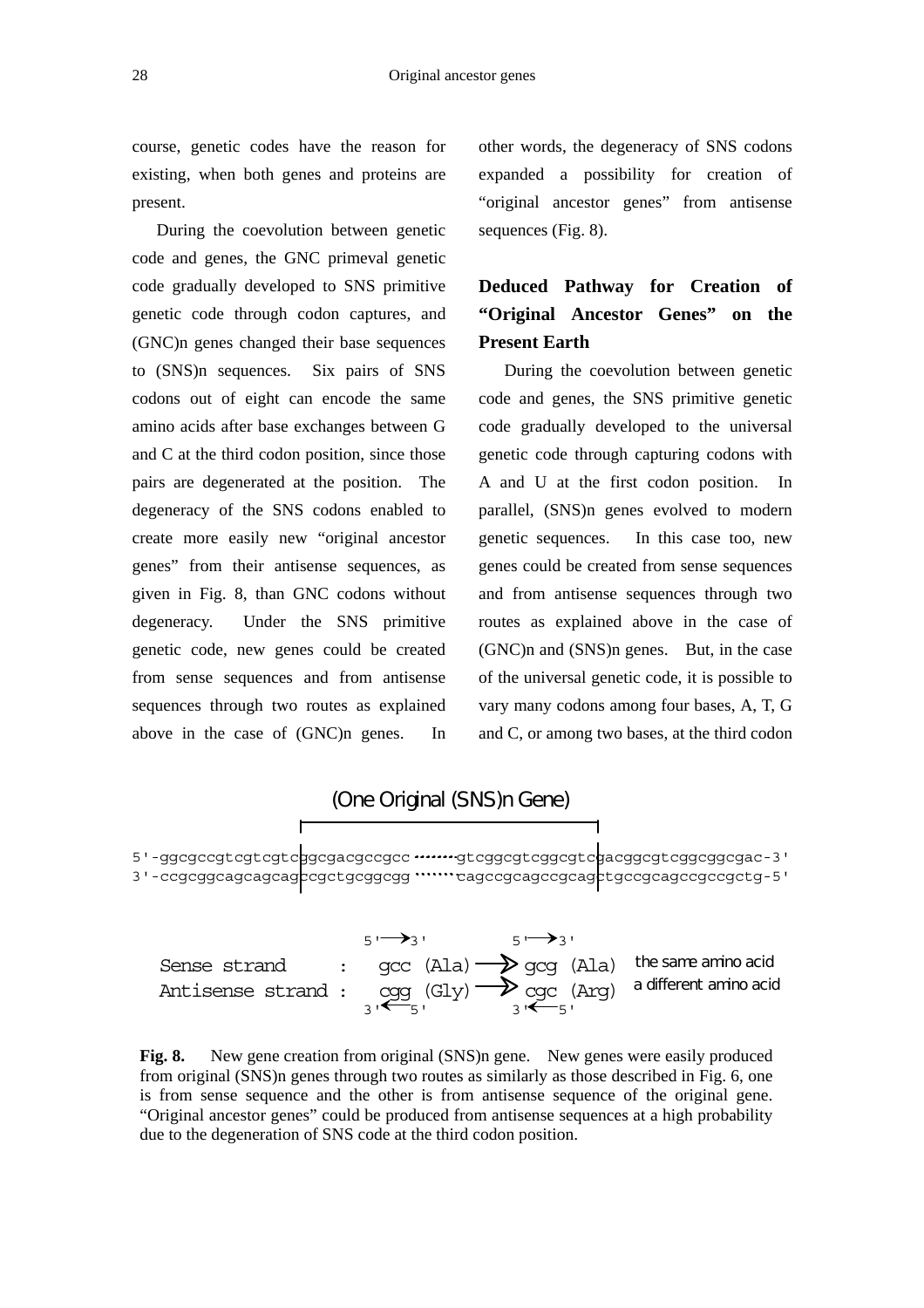course, genetic codes have the reason for existing, when both genes and proteins are present.

During the coevolution between genetic code and genes, the GNC primeval genetic code gradually developed to SNS primitive genetic code through codon captures, and (GNC)n genes changed their base sequences to (SNS)n sequences. Six pairs of SNS codons out of eight can encode the same amino acids after base exchanges between G and C at the third codon position, since those pairs are degenerated at the position. The degeneracy of the SNS codons enabled to create more easily new "original ancestor genes" from their antisense sequences, as given in Fig. 8, than GNC codons without degeneracy. Under the SNS primitive genetic code, new genes could be created from sense sequences and from antisense sequences through two routes as explained above in the case of (GNC)n genes. In

other words, the degeneracy of SNS codons expanded a possibility for creation of "original ancestor genes" from antisense sequences (Fig. 8).

# **Deduced Pathway for Creation of "Original Ancestor Genes" on the Present Earth**

During the coevolution between genetic code and genes, the SNS primitive genetic code gradually developed to the universal genetic code through capturing codons with A and U at the first codon position. In parallel, (SNS)n genes evolved to modern genetic sequences. In this case too, new genes could be created from sense sequences and from antisense sequences through two routes as explained above in the case of (GNC)n and (SNS)n genes. But, in the case of the universal genetic code, it is possible to vary many codons among four bases, A, T, G and C, or among two bases, at the third codon



|                                                                                                                                                                        | <b>५।──<del>&gt;</del></b> २ । | $\overline{5}$ $\rightarrow$ 3' |  |
|------------------------------------------------------------------------------------------------------------------------------------------------------------------------|--------------------------------|---------------------------------|--|
| Sense strand : $qcc$ (Ala) $\rightarrow$ $qcq$ (Ala) the same amino acid<br>Antisense strand: $\cos (\text{Gly}) \rightarrow \cos (\text{Arg})$ a different amino acid |                                |                                 |  |

**Fig. 8.** New gene creation from original (SNS)n gene. New genes were easily produced from original (SNS)n genes through two routes as similarly as those described in Fig. 6, one is from sense sequence and the other is from antisense sequence of the original gene. "Original ancestor genes" could be produced from antisense sequences at a high probability due to the degeneration of SNS code at the third codon position.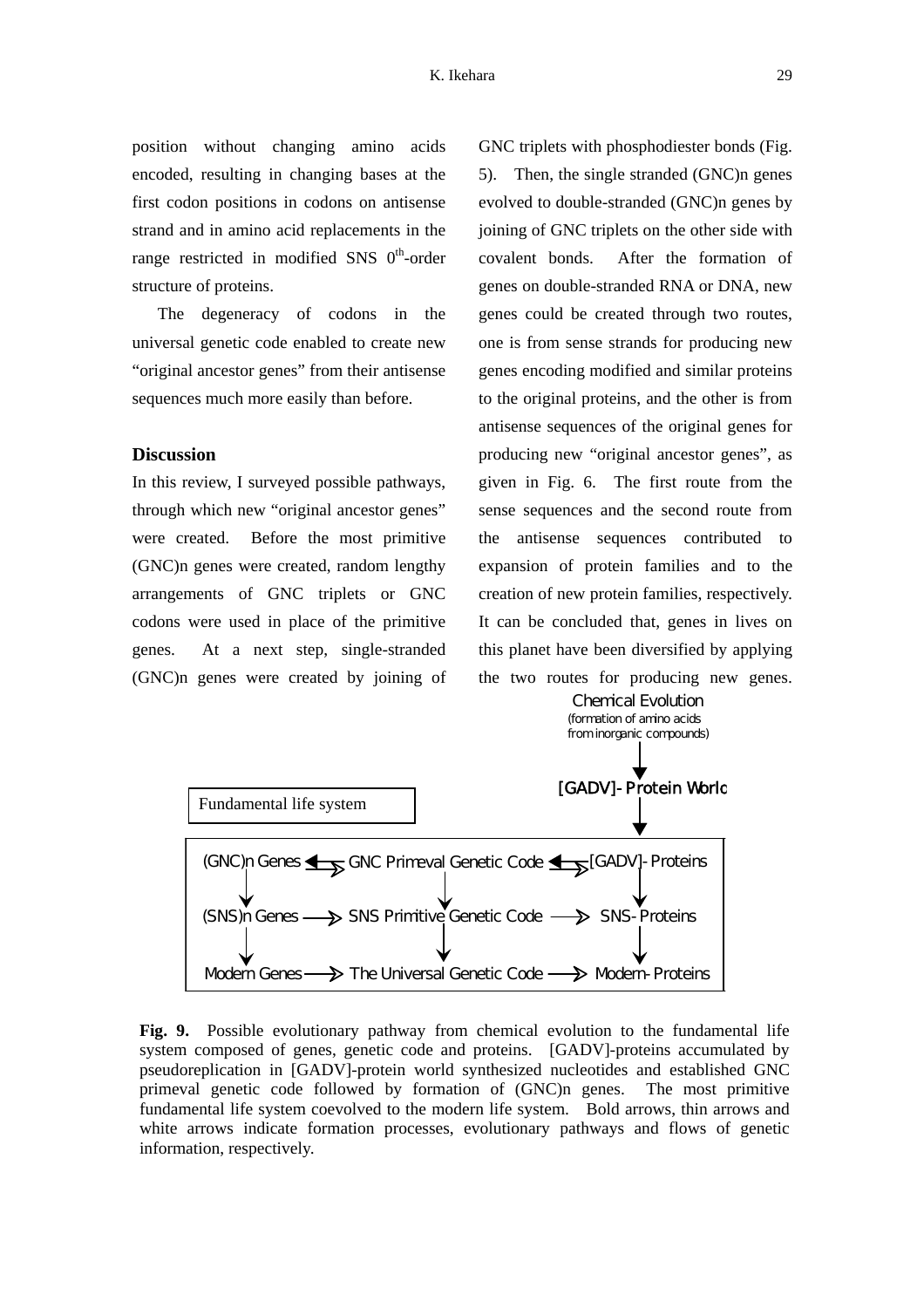position without changing amino acids encoded, resulting in changing bases at the first codon positions in codons on antisense strand and in amino acid replacements in the range restricted in modified SNS  $0<sup>th</sup>$ -order structure of proteins.

The degeneracy of codons in the universal genetic code enabled to create new "original ancestor genes" from their antisense sequences much more easily than before.

### **Discussion**

In this review, I surveyed possible pathways, through which new "original ancestor genes" were created. Before the most primitive (GNC)n genes were created, random lengthy arrangements of GNC triplets or GNC codons were used in place of the primitive genes. At a next step, single-stranded (GNC)n genes were created by joining of GNC triplets with phosphodiester bonds (Fig. 5). Then, the single stranded (GNC)n genes evolved to double-stranded (GNC)n genes by joining of GNC triplets on the other side with covalent bonds. After the formation of genes on double-stranded RNA or DNA, new genes could be created through two routes, one is from sense strands for producing new genes encoding modified and similar proteins to the original proteins, and the other is from antisense sequences of the original genes for producing new "original ancestor genes", as given in Fig. 6. The first route from the sense sequences and the second route from the antisense sequences contributed to expansion of protein families and to the creation of new protein families, respectively. It can be concluded that, genes in lives on this planet have been diversified by applying the two routes for producing new genes.



**Fig. 9.** Possible evolutionary pathway from chemical evolution to the fundamental life system composed of genes, genetic code and proteins. [GADV]-proteins accumulated by pseudoreplication in [GADV]-protein world synthesized nucleotides and established GNC primeval genetic code followed by formation of (GNC)n genes. The most primitive fundamental life system coevolved to the modern life system. Bold arrows, thin arrows and white arrows indicate formation processes, evolutionary pathways and flows of genetic information, respectively.